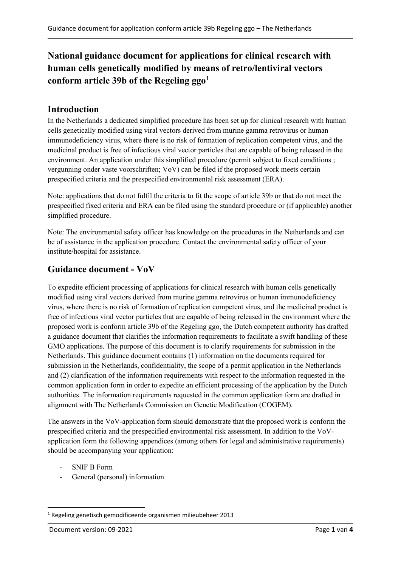# **National guidance document for applications for clinical research with human cells genetically modified by means of retro/lentiviral vectors conform article 39b of the Regeling ggo[1](#page-0-0)**

### **Introduction**

In the Netherlands a dedicated simplified procedure has been set up for clinical research with human cells genetically modified using viral vectors derived from murine gamma retrovirus or human immunodeficiency virus, where there is no risk of formation of replication competent virus, and the medicinal product is free of infectious viral vector particles that are capable of being released in the environment. An application under this simplified procedure (permit subject to fixed conditions ; vergunning onder vaste voorschriften; VoV) can be filed if the proposed work meets certain prespecified criteria and the prespecified environmental risk assessment (ERA).

Note: applications that do not fulfil the criteria to fit the scope of article 39b or that do not meet the prespecified fixed criteria and ERA can be filed using the standard procedure or (if applicable) another simplified procedure.

Note: The environmental safety officer has knowledge on the procedures in the Netherlands and can be of assistance in the application procedure. Contact the environmental safety officer of your institute/hospital for assistance.

### **Guidance document - VoV**

To expedite efficient processing of applications for clinical research with human cells genetically modified using viral vectors derived from murine gamma retrovirus or human immunodeficiency virus, where there is no risk of formation of replication competent virus, and the medicinal product is free of infectious viral vector particles that are capable of being released in the environment where the proposed work is conform article 39b of the Regeling ggo, the Dutch competent authority has drafted a guidance document that clarifies the information requirements to facilitate a swift handling of these GMO applications. The purpose of this document is to clarify requirements for submission in the Netherlands. This guidance document contains (1) information on the documents required for submission in the Netherlands, confidentiality, the scope of a permit application in the Netherlands and (2) clarification of the information requirements with respect to the information requested in the common application form in order to expedite an efficient processing of the application by the Dutch authorities. The information requirements requested in the common application form are drafted in alignment with The Netherlands Commission on Genetic Modification (COGEM).

The answers in the VoV-application form should demonstrate that the proposed work is conform the prespecified criteria and the prespecified environmental risk assessment. In addition to the VoVapplication form the following appendices (among others for legal and administrative requirements) should be accompanying your application:

- SNIF B Form
- General (personal) information

<span id="page-0-0"></span><sup>1</sup> Regeling genetisch gemodificeerde organismen milieubeheer 2013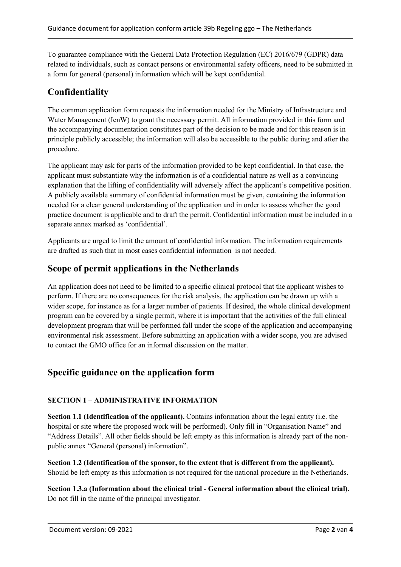To guarantee compliance with the General Data Protection Regulation (EC) 2016/679 (GDPR) data related to individuals, such as contact persons or environmental safety officers, need to be submitted in a form for general (personal) information which will be kept confidential.

# **Confidentiality**

The common application form requests the information needed for the Ministry of Infrastructure and Water Management (IenW) to grant the necessary permit. All information provided in this form and the accompanying documentation constitutes part of the decision to be made and for this reason is in principle publicly accessible; the information will also be accessible to the public during and after the procedure.

The applicant may ask for parts of the information provided to be kept confidential. In that case, the applicant must substantiate why the information is of a confidential nature as well as a convincing explanation that the lifting of confidentiality will adversely affect the applicant's competitive position. A publicly available summary of confidential information must be given, containing the information needed for a clear general understanding of the application and in order to assess whether the good practice document is applicable and to draft the permit. Confidential information must be included in a separate annex marked as 'confidential'.

Applicants are urged to limit the amount of confidential information. The information requirements are drafted as such that in most cases confidential information is not needed.

### **Scope of permit applications in the Netherlands**

An application does not need to be limited to a specific clinical protocol that the applicant wishes to perform. If there are no consequences for the risk analysis, the application can be drawn up with a wider scope, for instance as for a larger number of patients. If desired, the whole clinical development program can be covered by a single permit, where it is important that the activities of the full clinical development program that will be performed fall under the scope of the application and accompanying environmental risk assessment. Before submitting an application with a wider scope, you are advised to contact the GMO office for an informal discussion on the matter.

# **Specific guidance on the application form**

#### **SECTION 1 – ADMINISTRATIVE INFORMATION**

**Section 1.1 (Identification of the applicant).** Contains information about the legal entity (i.e. the hospital or site where the proposed work will be performed). Only fill in "Organisation Name" and "Address Details". All other fields should be left empty as this information is already part of the nonpublic annex "General (personal) information".

**Section 1.2 (Identification of the sponsor, to the extent that is different from the applicant).** Should be left empty as this information is not required for the national procedure in the Netherlands.

**Section 1.3.a (Information about the clinical trial - General information about the clinical trial).**  Do not fill in the name of the principal investigator.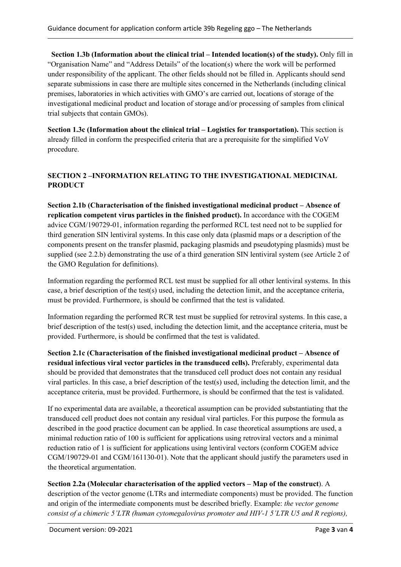**Section 1.3b (Information about the clinical trial – Intended location(s) of the study).** Only fill in "Organisation Name" and "Address Details" of the location(s) where the work will be performed under responsibility of the applicant. The other fields should not be filled in. Applicants should send separate submissions in case there are multiple sites concerned in the Netherlands (including clinical premises, laboratories in which activities with GMO's are carried out, locations of storage of the investigational medicinal product and location of storage and/or processing of samples from clinical trial subjects that contain GMOs).

**Section 1.3c (Information about the clinical trial – Logistics for transportation).** This section is already filled in conform the prespecified criteria that are a prerequisite for the simplified VoV procedure.

#### **SECTION 2 –INFORMATION RELATING TO THE INVESTIGATIONAL MEDICINAL PRODUCT**

**Section 2.1b (Characterisation of the finished investigational medicinal product – Absence of replication competent virus particles in the finished product).** In accordance with the COGEM advice CGM/190729-01, information regarding the performed RCL test need not to be supplied for third generation SIN lentiviral systems. In this case only data (plasmid maps or a description of the components present on the transfer plasmid, packaging plasmids and pseudotyping plasmids) must be supplied (see 2.2.b) demonstrating the use of a third generation SIN lentiviral system (see Article 2 of the GMO Regulation for definitions).

Information regarding the performed RCL test must be supplied for all other lentiviral systems. In this case, a brief description of the test(s) used, including the detection limit, and the acceptance criteria, must be provided. Furthermore, is should be confirmed that the test is validated.

Information regarding the performed RCR test must be supplied for retroviral systems. In this case, a brief description of the test(s) used, including the detection limit, and the acceptance criteria, must be provided. Furthermore, is should be confirmed that the test is validated.

**Section 2.1c (Characterisation of the finished investigational medicinal product – Absence of residual infectious viral vector particles in the transduced cells).** Preferably, experimental data should be provided that demonstrates that the transduced cell product does not contain any residual viral particles. In this case, a brief description of the test(s) used, including the detection limit, and the acceptance criteria, must be provided. Furthermore, is should be confirmed that the test is validated.

If no experimental data are available, a theoretical assumption can be provided substantiating that the transduced cell product does not contain any residual viral particles. For this purpose the formula as described in the good practice document can be applied. In case theoretical assumptions are used, a minimal reduction ratio of 100 is sufficient for applications using retroviral vectors and a minimal reduction ratio of 1 is sufficient for applications using lentiviral vectors (conform COGEM advice CGM/190729-01 and CGM/161130-01). Note that the applicant should justify the parameters used in the theoretical argumentation.

#### **Section 2.2a (Molecular characterisation of the applied vectors – Map of the construct**). A

description of the vector genome (LTRs and intermediate components) must be provided. The function and origin of the intermediate components must be described briefly. Example: *the vector genome consist of a chimeric 5'LTR (human cytomegalovirus promoter and HIV-1 5'LTR U5 and R regions),*